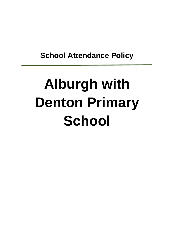**School Attendance Policy**

# **Alburgh with Denton Primary School**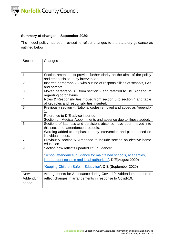

## **Summary of changes – September 2020:**

The model policy has been revised to reflect changes to the statutory guidance as outlined below.

| Section                         | Changes                                                                                                                                                                                                                                     |
|---------------------------------|---------------------------------------------------------------------------------------------------------------------------------------------------------------------------------------------------------------------------------------------|
| 1                               | Section amended to provide further clarity on the aims of the policy<br>and emphasis on early intervention.                                                                                                                                 |
| 2.                              | Inserted paragraph 2.2 with outline of responsibilities of schools, LAs<br>and parents                                                                                                                                                      |
| 3.                              | Moved paragraph 3.1 from section 2 and referred to DfE Addendum<br>regarding coronavirus.                                                                                                                                                   |
| 4.                              | Roles & Responsibilities moved from section 6 to section 4 and table<br>of key roles and responsibilities inserted.                                                                                                                         |
| 5.                              | Previously section 4. National codes removed and added as Appendix<br>$\mathbf 1$ .<br>Reference to DfE advice inserted.<br>Section on Medical Appointments and absence due to illness added.                                               |
| 6.                              | Sections of lateness and persistent absence have been moved into<br>this section of attendance protocols.<br>Wording added to emphasise early intervention and plans based on<br>individual needs.                                          |
| 7.                              | Previously section 5. Amended to include section on elective home<br>education                                                                                                                                                              |
| 9.                              | Section now reflects updated DfE guidance:<br>'School attendance: guidance for maintained schools, academies,<br>independent schools and local authorities', DfE(August 2020)<br>'Keeping Children Safe in Education', DfE (September 2020) |
| <b>New</b><br>Addendum<br>added | Arrangements for Attendance during Covid-19: Addendum created to<br>reflect changes in arrangements in response to Covid-19.                                                                                                                |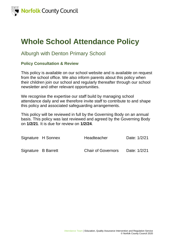

## **Whole School Attendance Policy**

## Alburgh with Denton Primary School

## **Policy Consultation & Review**

This policy is available on our school website and is available on request from the school office. We also inform parents about this policy when their children join our school and regularly thereafter through our school newsletter and other relevant opportunities.

We recognise the expertise our staff build by managing school attendance daily and we therefore invite staff to contribute to and shape this policy and associated safeguarding arrangements.

This policy will be reviewed in full by the Governing Body on an annual basis. This policy was last reviewed and agreed by the Governing Body on **1/2/21**. It is due for review on **1/2/24**.

|                     | Signature H Sonnex | Headteacher               | Date: 1/2/21 |
|---------------------|--------------------|---------------------------|--------------|
| Signature B Barrett |                    | <b>Chair of Governors</b> | Date: 1/2/21 |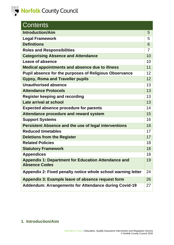

| <b>Contents</b>                                               |    |
|---------------------------------------------------------------|----|
| <b>Introduction/Aim</b>                                       | 5  |
| <b>Legal Framework</b>                                        | 5  |
| <b>Definitions</b>                                            | 6  |
| <b>Roles and Responsibilities</b>                             | 7  |
| <b>Categorising Absence and Attendance</b>                    | 10 |
| Leave of absence                                              | 10 |
| <b>Medical appointments and absence due to illness</b>        | 11 |
| <b>Pupil absence for the purposes of Religious Observance</b> | 12 |
| <b>Gypsy, Roma and Traveller pupils</b>                       | 12 |
| <b>Unauthorised absence</b>                                   | 13 |
| <b>Attendance Protocols</b>                                   | 13 |
| <b>Register keeping and recording</b>                         | 13 |
| Late arrival at school                                        | 13 |
| <b>Expected absence procedure for parents</b>                 | 14 |
| Attendance procedure and reward system                        | 15 |
| <b>Support Systems</b>                                        | 16 |
| <b>Persistent Absence and the use of legal interventions</b>  | 16 |
| <b>Reduced timetables</b>                                     | 17 |
| <b>Deletions from the Register</b>                            | 17 |
| <b>Related Policies</b>                                       | 18 |
| <b>Statutory Framework</b>                                    | 18 |
| <b>Appendices</b>                                             | 18 |
| <b>Appendix 1: Department for Education Attendance and</b>    | 19 |
| <b>Absence Codes</b>                                          |    |
| Appendix 2: Fixed penalty notice whole school warning letter  | 24 |
| Appendix 3: Example leave of absence request form             | 26 |
| <b>Addendum: Arrangements for Attendance during Covid-19</b>  | 27 |

## **1. Introduction/Aim**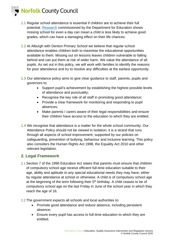

- 1.1 Regular school attendance is essential if children are to achieve their full potential. [Research](https://www.gov.uk/government/publications/absence-and-attainment-at-key-stages-2-and-4-2013-to-2014) commissioned by the Department for Education shows missing school for even a day can mean a child is less likely to achieve good grades, which can have a damaging effect on their life chances.
- 1.2 At Alburgh with Denton Primary School we believe that regular school attendance enables children both to maximise the educational opportunities available to them. Missing out on lessons leaves children vulnerable to falling behind and can put them at risk of wider harm. We value the attendance of all pupils. As set out in this policy, we will work with families to identify the reasons for poor attendance and try to resolve any difficulties at the earliest opportunity.
- 1.3 Our attendance policy aims to give clear guidance to staff, parents, pupils and governors to:
	- Support pupil's achievement by establishing the highest possible levels of attendance and punctuality;
	- Recognise the key role of all staff in promoting good attendance;
	- Provide a clear framework for monitoring and responding to pupil absences;
	- Make parents / carers aware of their legal responsibilities and ensure their children have access to the education to which they are entitled.
- 1.4 We recognise that attendance is a matter for the whole school community. Our Attendance Policy should not be viewed in isolation; it is a strand that runs through all aspects of school improvement, supported by our policies on safeguarding, prevention of bullying, behaviour and inclusive learning. This policy also considers the Human Rights Act 1998, the Equality Act 2010 and other relevant legislation.

## **2. Legal Framework**

- 2.1 Section 7 of the 1996 Education Act states that parents must ensure that children of compulsory school age receive efficient full-time education suitable to their age, ability and aptitude to any special educational needs they may have, either by regular attendance at school or otherwise. A child is of compulsory school age at the beginning of the term following their  $5<sup>th</sup>$  birthday. A child ceases to be of compulsory school age on the last Friday in June of the school year in which they reach the age of 16.
- 2.2 The government expects all schools and local authorities to:
	- Promote good attendance and reduce absence, including persistent absence;
	- Ensure every pupil has access to full-time education to which they are entitled;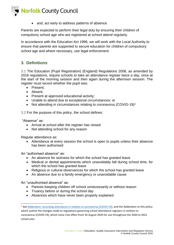

• and, act early to address patterns of absence.

Parents are expected to perform their legal duty by ensuring their children of compulsory school age who are registered at school attend regularly.

In accordance with the Education Act 1996, we will work with the Local Authority to ensure that parents are supported to secure education for children of compulsory school age and where necessary, use legal enforcement.

## **3. Definitions**

3.1 The Education (Pupil Registration) (England) Regulations 2006, as amended by 2016 regulations, require schools to take an attendance register twice a day, once at the start of the morning session and then again during the afternoon session. The register must record whether the pupil was:

- Present;
- Absent;
- Present at approved educational activity;
- Unable to attend due to exceptional circumstances; or
- Not attending in circumstances relating to coronavirus (COVID-19)<sup>1</sup>

3.2 For the purpose of this policy, the school defines:

"Absence" as:

- Arrival at school after the register has closed
- Not attending school for any reason

Regular attendance as:

• Attendance at every session the school is open to pupils unless their absence has been authorised

An "authorised absence" as:

- An absence for sickness for which the school has granted leave
- Medical or dental appointments which unavoidably fall during school time, for which the school has granted leave
- Religious or cultural observances for which the school has granted leave
- An absence due to a family emergency or unavoidable cause

An "unauthorised absence" as:

- Parents keeping children off school unnecessarily or without reason
- Truancy before or during the school day
- Absences which have never been properly explained

<sup>&</sup>lt;sup>1</sup> Se[e Addendum: recording attendance in relation to coronavirus \(COVID-19\),](https://www.gov.uk/government/publications/school-attendance/addendum-recording-attendance-in-relation-to-coronavirus-covid-19-during-the-2020-to-2021-academic-year) and the Addendum to this policy which outline the changes made to regulations governing school attendance registers in relation to coronavirus (COVID-19), which come into effect from 24 August 2020 for use throughout the 2020 to 2021 school year.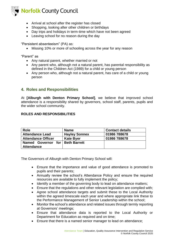

- Arrival at school after the register has closed
- Shopping, looking after other children or birthdays
- Day trips and holidays in term-time which have not been agreed
- Leaving school for no reason during the day

"Persistent absenteeism" (PA) as:

• Missing 10% or more of schooling across the year for any reason

"Parent" as

- Any natural parent, whether married or not
- Any parent who, although not a natural parent, has parental responsibility as defined in the Children Act (1989) for a child or young person
- Any person who, although not a natural parent, has care of a child or young person

## **4. Roles and Responsibilities**

At **[Alburgh with Denton Primary School]**, we believe that improved school attendance is a responsibility shared by governors, school staff, parents, pupils and the wider school community.

#### **ROLES AND RESPONSIBILITIES**

| <b>Role</b>                       | <b>Name</b>          | <b>Contact details</b> |
|-----------------------------------|----------------------|------------------------|
| <b>Attendance Lead</b>            | <b>Hayley Sonnex</b> | 01986 788678           |
| <b>Attendance Officer</b>         | <b>Kate Byer</b>     | 01986 788678           |
| Named Governor for   Beth Barrett |                      |                        |
| <b>Attendance</b>                 |                      |                        |

The Governors of Alburgh with Denton Primary School will:

- Ensure that the importance and value of good attendance is promoted to pupils and their parents;
- Annually review the school's Attendance Policy and ensure the required resources are available to fully implement the policy;
- Identify a member of the governing body to lead on attendance matters;
- Ensure that the regulations and other relevant legislation are complied with;
- Agree school attendance targets and submit these to the Local Authority within the agreed timescale each year and where appropriate link these to the Performance Management of Senior Leadership within the school;
- Monitor the school's attendance and related issues through termly reporting at Governors' meetings;
- Ensure that attendance data is reported to the Local Authority or Department for Education as required and on time;
- Ensure that there is a named senior manager to lead on attendance;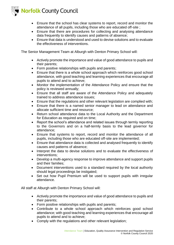

- Ensure that the school has clear systems to report, record and monitor the attendance of all pupils, including those who are educated off-site ;
- Ensure that there are procedures for collecting and analysing attendance data frequently to identify causes and patterns of absence;
- Ensure that data is understood and used to devise solutions and to evaluate the effectiveness of interventions.

The Senior Management Team at Alburgh with Denton Primary School will:

- Actively promote the importance and value of good attendance to pupils and their parents;
- Form positive relationships with pupils and parents;
- Ensure that there is a whole school approach which reinforces good school attendance, with good teaching and learning experiences that encourage all pupils to attend and to achieve;
- Monitor the implementation of the Attendance Policy and ensure that the policy is reviewed annually;
- Ensure that all staff are aware of the Attendance Policy and adequately trained to address attendance issues;
- Ensure that the regulations and other relevant legislation are complied with:
- Ensure that there is a named senior manager to lead on attendance and allocate sufficient time and resource;
- Return school attendance data to the Local Authority and the Department for Education as required and on time;
- Report the school's attendance and related issues through termly reporting to the Governors and on a half-termly basis to the lead governor for attendance;
- Ensure that systems to report, record and monitor the attendance of all pupils, including those who are educated off-site are implemented;
- Ensure that attendance data is collected and analysed frequently to identify causes and patterns of absence;
- Interpret the data to devise solutions and to evaluate the effectiveness of interventions;
- Develop a multi-agency response to improve attendance and support pupils and their families;
- Document interventions used to a standard required by the local authority should legal proceedings be instigated;
- Set out how Pupil Premium will be used to support pupils with irregular attendance.

All staff at Alburgh with Denton Primary School will:

- Actively promote the importance and value of good attendance to pupils and their parents;
- Form positive relationships with pupils and parents;
- Contribute to a whole school approach which reinforces good school attendance; with good teaching and learning experiences that encourage all pupils to attend and to achieve;
- Comply with the regulations and other relevant legislation;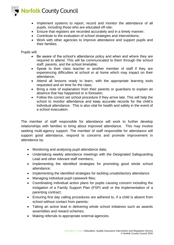

- Implement systems to report, record and monitor the attendance of all pupils, including those who are educated off-site;
- Ensure that registers are recorded accurately and in a timely manner;
- Contribute to the evaluation of school strategies and interventions;
- Work with other agencies to improve attendance and support pupils and their families.

Pupils will:

- Be aware of the school's attendance policy and when and where they are required to attend. This will be communicated to them through the school staff, parents, and the school timetable;
- Speak to their class teacher or another member of staff if they are experiencing difficulties at school or at home which may impact on their attendance;
- Attend all lessons ready to learn, with the appropriate learning tools requested and on time for the class;
- Bring a note of explanation from their parents or guardians to explain an absence that has happened or is foreseen;
- Follow the correct set school procedure if they arrive late. This will help the school to monitor attendance and keep accurate records for the child's individual attendance. This is also vital for health and safety in the event of a school evacuation.

The member of staff responsible for attendance will work to further develop relationships with families to bring about improved attendance. This may involve seeking multi-agency support. The member of staff responsible for attendance will support good attendance, respond to concerns and promote improvement in attendance by:

- Monitoring and analysing pupil attendance data;
- Undertaking weekly attendance meetings with the Designated Safeguarding Lead and other relevant staff members;
- Implementing the identified strategies for promoting good whole school attendance;
- Implementing the identified strategies for tackling unsatisfactory attendance
- Managing individual pupil casework files;
- Coordinating individual action plans for pupils causing concern including the instigation of a Family Support Plan (FSP) and/ or the implementation of a parenting contract;
- Ensuring first day calling procedures are adhered to, if a child is absent from school without contact from parents;
- Taking an active lead in delivering whole school initiatives such as awards assemblies and reward schemes;
- Making referrals to appropriate external agencies.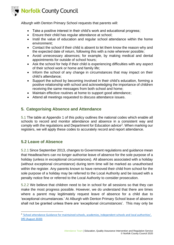

Alburgh with Denton Primary School requests that parents will:

- Take a positive interest in their child's work and educational progress;
- Ensure their child has regular attendance at school;
- Instil the value of education and regular school attendance within the home environment;
- Contact the school if their child is absent to let them know the reason why and the expected date of return, following this with a note wherever possible;
- Avoid unnecessary absences; for example, by making medical and dental appointments for outside of school hours;
- Ask the school for help if their child is experiencing difficulties with any aspect of their school work or home and family life;
- Inform the school of any change in circumstances that may impact on their child's attendance;
- Support the school by becoming involved in their child's education, forming a positive relationship with school and acknowledging the importance of children receiving the same messages from both school and home;
- Maintain effective routines at home to support good attendance;
- Attend all meetings requested to discuss attendance issues.

## **5. Categorising Absence and Attendance**

5.1 The table at Appendix 1 of this policy outlines the national codes which enable all schools to record and monitor attendance and absence in a consistent way and comply with the regulations and Department for Education advice<sup>2</sup>. When marking our registers, we will apply these codes to accurately record and report attendance.

## **5.2 Leave of Absence**

5.2.1 Since September 2013, changes to Government regulations and guidance mean that Headteachers can no longer authorise leave of absence for the sole purpose of a holiday (unless in exceptional circumstances). All absences associated with a holiday (without exceptional circumstance) during term time will be marked as unauthorised within the register. Any parents known to have removed their child from school for the sole purpose of a holiday may be referred to the Local Authority and be issued with a penalty notice fine or referred to the Local Authority to consider prosecution.

5.2.2 We believe that children need to be in school for all sessions so that they can make the most progress possible. However, we do understand that there are times where a parent may legitimately request leave of absence for a child due to 'exceptional circumstances.' At Alburgh with Denton Primary School leave of absence shall not be granted unless there are 'exceptional circumstances'. This may only be

<sup>&</sup>lt;sup>2</sup> 'School attendance Guidance for maintained schools, academies, independent schools and local authorities', [DfE \(August 2020\)](https://assets.publishing.service.gov.uk/government/uploads/system/uploads/attachment_data/file/907535/School_attendance_guidance_for_2020_to_2021_academic_year.pdf)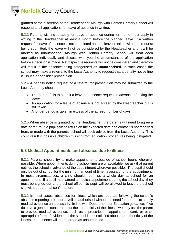



granted at the discretion of the Headteacher Alburgh with Denton Primary School will respond to all applications for leave of absence in writing.

5.2.3 Parents wishing to apply for leave of absence during term time must apply in writing to the Headteacher at least a month before the planned leave. If a written request for leave of absence is not completed and the leave is taken without a request being submitted, the leave will not be considered by the Headteacher and it will be marked as unauthorised. Alburgh with Denton Primary School will treat each application individually and discuss with you the circumstances of the application before a decision is made. Retrospective requests will not be considered and therefore will result in the absence being categorised as **unauthorised.** In such cases the school may make a referral to the Local Authority to request that a penalty notice fine is issued or consider prosecution.

5.2.4 A penalty notice request or a referral for prosecution may be submitted to the Local Authority should: -

- The parent fails to submit a leave of absence request in advance of taking the leave
- An application for a leave of absence is not agreed by the Headteacher but is still taken
- A longer period is taken in excess of the agreed number of days.

5.2.5 When absence is granted by the Headteacher, the parents will need to agree a date of return. If a pupil fails to return on the expected date and contact is not received from, or made with the parents, school will seek advice from the Local Authority. This could result in possible children missing from education procedures being instigated.

## **5.3 Medical Appointments and absence due to illness**

5.3.1 Parents should try to make appointments outside of school hours wherever possible. Where appointments during school time are unavoidable, we ask that parent notifies the school in advance of the appointment wherever possible. The pupil should only be out of school for the minimum amount of time necessary for the appointment. In most circumstances, a child should not miss a whole day at school for an appointment. If a pupil must attend a medical appointment during the school day, they must be signed out at the school office. No pupil will be allowed to leave the school site without parental confirmation.

5.3.2 In most cases, absences for illness which are reported following the school's absence reporting procedures will be authorised without the need for parents to supply medical evidence unnecessarily. In line with Department for Education guidance, if we do have a genuine concern about the authenticity of the illness, we may ask the parent to provide medical evidence, such as a prescription, appointment card, or other appropriate form of evidence. If the school is not satisfied about the authenticity of the illness, the absence will be recorded as unauthorised.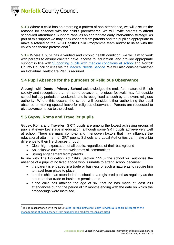

5.3.3 Where a child has an emerging a pattern of non-attendance, we will discuss the reasons for absence with the child's parent/carer. We will invite parents to attend school-led Attendance Support Panel as an appropriate early intervention strategy. As part of this support we may seek consent from parents and the pupil as appropriate to make a referral to the 5-19 Healthy Child Programme team and/or to liaise with the child's healthcare professional.<sup>3</sup>

5.3.4 Where a pupil has a verified and chronic health condition, we will aim to work with parents to ensure children have access to education and provide appropriate support in line with [Supporting pupils with medical conditions at school](https://www.gov.uk/government/publications/supporting-pupils-at-school-with-medical-conditions--3) and Norfolk County Council policies via the [Medical Needs Service.](https://www.schools.norfolk.gov.uk/pupil-needs/health-needs/medical-needs-service) We will also consider whether an Individual Healthcare Plan is required.

## **5.4 Pupil Absence for the purposes of Religious Observance**

**Alburgh with Denton Primary School** acknowledges the multi-faith nature of British society and recognises that, on some occasions, religious festivals may fall outside school holiday periods or weekends and is recognised as such by a relevant religious authority. Where this occurs, the school will consider either authorising the pupil absence or making special leave for religious observance. Parents are requested to give advance notice to the school.

## **5.5 Gypsy, Roma and Traveller pupils**

Gypsy, Roma and Traveller (GRT) pupils are among the lowest achieving groups of pupils at every key stage in education, although some GRT pupils achieve very well at school. There are many complex and interwoven factors that may influence the educational attainment of GRT pupils. Schools and Local Authorities can make a big difference to their life chances through:

- Clear high expectation of all pupils, regardless of their background
- An inclusive culture that welcomes all communities
- Strong engagement from parents

In line with The Education Act 1996, Section 444(6) the school will authorise the absence of a pupil of no fixed abode who is unable to attend school because:

- the parent is engaged in a trade or business of such a nature as to require him to travel from place to place,
- that the child has attended at a school as a registered pupil as regularly as the nature of that trade or business permits, and
- if the child has attained the age of six, that he has made at least 200 attendances during the period of 12 months ending with the date on which the proceedings were instituted

<sup>&</sup>lt;sup>3</sup> This is in accordance with the NSCP Joint Protocol between Health Services & Schools in respect of the [management of pupil absence from school when medical reasons are cited](https://www.norfolklscb.org/about/policies-procedures/5-27-joint-protocol-between-health-services-schools-in-respect-of-the-management-of-pupil-absence-from-school-when-medical-reasons-are-cited/)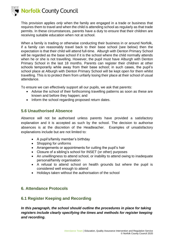

This provision applies *only* when the family are engaged in a trade or business that requires them to travel and when the child is attending school as regularly as that trade permits. In these circumstances, parents have a duty to ensure that their children are receiving suitable education when not at school.

When a family is trading or otherwise conducting their business in or around Norfolk, if a family can reasonably travel back to their base school (see below) then the expectation is that their child will attend full-time. Alburgh with Denton Primary School will be regarded as the base school if it is the school where the child normally attends when he or she is not travelling. However, the pupil must have Alburgh with Denton Primary School in the last 18 months. Parents can register their children at other schools temporarily while away from their base school; in such cases, the pupil's school place at Alburgh with Denton Primary School will be kept open for them whilst travelling. This is to protect them from unfairly losing their place at their school of usual attendance.

To ensure we can effectively support all our pupils, we ask that parents:

- Advise the school of their forthcoming travelling patterns as soon as these are known and before they happen; and
- Inform the school regarding proposed return dates.

## **5.6 Unauthorised Absence**

Absence will not be authorised unless parents have provided a satisfactory explanation and it is accepted as such by the school. The decision to authorise absences is at the discretion of the Headteacher. Examples of unsatisfactory explanations include but are not limited to:

- A pupil's/family member's birthday
- Shopping for uniforms
- Arrangements or appointments for cutting the pupil's hair
- Closure of a sibling's school for INSET (or other) purposes
- An unwillingness to attend school, or inability to attend owing to inadequate personal/family organisation
- A refusal to attend school on health grounds but where the pupil is considered well enough to attend
- Holidays taken without the authorisation of the school

### **6. Attendance Protocols**

## **6.1 Register Keeping and Recording**

In this paragraph, the school should outline the procedures in place for taking *registers include clearly specifying the times and methods for register keeping and recording.*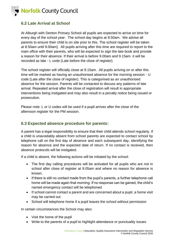

## **6.2 Late Arrival at School**

At Alburgh with Denton Primary School all pupils are expected to arrive on time for every day of the school year. The school day begins at 8.50am. We advise all parents to ensure their child is on site prior to this. The school register will be taken at 8.50am until 9.00am]. All pupils arriving after this time are required to report to the main office with their parents, who will be expected to sign the late book and provide a reason for their absence. If their arrival is before 9.00am and 9.15am it will be recorded as late - L code (Late before the close of register).

The school register will officially close at 9.15am. All pupils arriving on or after this time will be marked as having an unauthorised absence for the morning session - U code (Late after the close of register). This is categorised as an unauthorised absence for the session. Parents will be contacted to discuss any patterns of late arrival. Repeated arrival after the close of registration will result in appropriate interventions being instigated and may also result in a penalty notice being issued or prosecution.

Please note: L or U codes will be used if a pupil arrives after the close of the afternoon register for the PM session.

## **6.3 Expected absence procedure for parents:**

A parent has a legal responsibility to ensure that their child attends school regularly. If a child is unavoidably absent from school parents are expected to contact school by telephone call on the first day of absence and each subsequent day, identifying the reason for absence and the expected date of return. If no contact is received, then absence protocols will be instigated.

If a child is absent, the following actions will be initiated by the school:

- The first day calling procedures will be activated for all pupils who are not in school after close of register at 9.05am and where no reason for absence is known.
- If there is still no contact made from the pupil's parents, a further telephone call home will be made again that morning. If no response can be gained, the child's named emergency contact will be telephoned
- If school cannot contact a parent and are concerned about a pupil, a home visit may be carried out
- School will telephone home if a pupil leaves the school without permission

In certain circumstances the School may also:

- Visit the home of the pupil
- Write to the parents of a pupil to highlight attendance or punctuality issues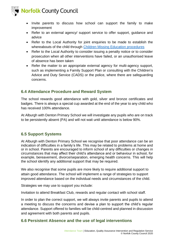

- Invite parents to discuss how school can support the family to make improvement
- Refer to an external agency/ support service to offer support, guidance and advice
- Refer to the Local Authority for joint enquiries to be made to establish the whereabouts of the child through [Children Missing Education procedures](https://www.schools.norfolk.gov.uk/pupil-safety-and-behaviour/children-missing-education/children-missing-education-policy)
- Refer to the Local Authority to consider issuing a penalty notice or to consider prosecution when all other interventions have failed, or an unauthorised leave of absence has been taken
- Refer the matter to an appropriate external agency for multi-agency support, such as implementing a Family Support Plan or consulting with the Children's Advice and Duty Service (CADS) or the police, where there are safeguarding concerns.

## **6.4 Attendance Procedure and Reward System**

The school rewards good attendance with gold, silver and bronze certificates and badges. There is always a special cup awarded at the end of the year to any child who has received 100% attendance.

At Alburgh with Denton Primary School we will investigate any pupils who are on track to be persistently absent (PA) and will not wait until attendance is below 90%.

## **6.5 Support Systems**

At Alburgh with Denton Primary School we recognise that poor attendance can be an indication of difficulties in a family's life. This may be related to problems at home and or in school. Parents are encouraged to inform school of any difficulties or changes in circumstances that may affect their child's attendance and or behaviour in school, for example, bereavement, divorce/separation, emerging health concerns. This will help the school identify any additional support that may be required.

We also recognise that some pupils are more likely to require additional support to attain good attendance. The school will implement a range of strategies to support improved attendance based on the individual needs and circumstances of the child.

Strategies we may use to support you include:

Invitation to attend Breakfast Club, rewards and regular contact with school staff.

In order to plan the correct support, we will always invite parents and pupils to attend a meeting to discuss the concerns and devise a plan to support the child's regular attendance. Support offered to families will be child-centred and planned in discussion and agreement with both parents and pupils.

## **6.6 Persistent Absence and the use of legal interventions**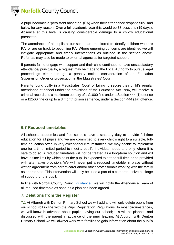

A pupil becomes a 'persistent absentee' (PA) when their attendance drops to 90% and below for any reason. Over a full academic year this would be 38 sessions (19 days). Absence at this level is causing considerable damage to a child's educational prospects.

The attendance of all pupils at our school are monitored to identify children who are PA, or are on track to becoming PA. Where emerging concerns are identified we will instigate appropriate and timely interventions as outlined in the section above. Referrals may also be made to external agencies for targeted support.

If parents fail to engage with support and their child continues to have unsatisfactory attendance/ punctuality, a request may be made to the Local Authority to pursue legal proceedings either through a penalty notice, consideration of an Education Supervision Order or prosecution in the Magistrates' Court.

Parents found guilty in a Magistrates' Court of failing to secure their child's regular attendance at school under the provisions of the Education Act 1996, will receive a criminal record and a maximum penalty of a £1000 fine under a Section 444 (1) offence or a £2500 fine or up to a 3 month prison sentence, under a Section 444 (1a) offence.

## **6.7 Reduced timetables**

All schools, academies and free schools have a statutory duty to provide full-time education for all pupils and we are committed to every child's right to a suitable, fulltime education offer. In very exceptional circumstances, we may decide to implement one for a time-limited period to meet a pupil's individual needs and only where it is safe to do so. A reduced timetable will not be treated as a long-term solution and will have a time limit by which point the pupil is expected to attend full-time or be provided with alternative provision. We will never put a reduced timetable in place without written agreement from parent/carer and/or other professionals working with the family as appropriate. This intervention will only be used a part of a comprehensive package of support for the pupil.

In line with Norfolk County Council quidance, we will notify the Attendance Team of all reduced timetable as soon as a plan has been agreed.

## **7. Deletions from the Register**

7.1 At Alburgh with Denton Primary School we will add and will only delete pupils from our school roll in line with the Pupil Registration Regulations. In most circumstances, we will know in advance about pupils leaving our school; this will be planned and discussed with the parent in advance of the pupil leaving. At Alburgh with Denton Primary School we will always work with families to gain information about the pupil's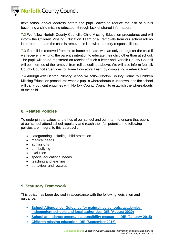

next school and/or address before the pupil leaves to reduce the risk of pupils becoming a child missing education through lack of shared information.

7.2 We follow Norfolk County Council's Child Missing Education procedures and will inform the Children Missing Education Team of all removals from our school roll no later than the date the child is removed in line with statutory responsibilities.

7.3 If a child is removed from roll to home educate, we can only de-register the child if we receive, in writing, the parent's intention to educate their child other than at school. The pupil will be de-registered on receipt of such a letter and Norfolk County Council will be informed of the removal from roll as outlined above. We will also inform Norfolk County Council's Services to Home Educators Team by completing a referral form.

7.4 Alburgh with Denton Primary School will follow Norfolk County Council's Children Missing Education procedures when a pupil's whereabouts is unknown, and the school will carry out joint enquiries with Norfolk County Council to establish the whereabouts of the child.

## **8. Related Policies**

To underpin the values and ethos of our school and our intent to ensure that pupils at our school attend school regularly and reach their full potential the following policies are integral to this approach:

- safeguarding including child protection
- medical needs
- admissions
- anti-bullying
- exclusion
- special educational needs
- teaching and learning
- behaviour and rewards

## **9. Statutory Framework**

This policy has been devised in accordance with the following legislation and guidance:

- **[School Attendance: Guidance for maintained schools, academies,](https://assets.publishing.service.gov.uk/government/uploads/system/uploads/attachment_data/file/907535/School_attendance_guidance_for_2020_to_2021_academic_year.pdf)  [independent schools and local authorities, DfE \(August 2020\)](https://assets.publishing.service.gov.uk/government/uploads/system/uploads/attachment_data/file/907535/School_attendance_guidance_for_2020_to_2021_academic_year.pdf)**
- **[School attendance parental responsibility measures, DfE \(January 2015\)](https://www.gov.uk/government/publications/parental-responsibility-measures-for-behaviour-and-attendance)**
- **[Children missing education, DfE \(September 2016\)](https://www.gov.uk/government/publications/children-missing-education)**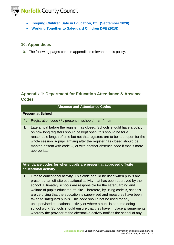

- **[Keeping Children Safe in Education, DfE \(September 2020\)](https://www.gov.uk/government/publications/keeping-children-safe-in-education--2)**
- **[Working Together to Safeguard Children DFE \(2018\)](https://assets.publishing.service.gov.uk/government/uploads/system/uploads/attachment_data/file/779401/Working_Together_to_Safeguard-Children.pdf)**

## **10. Appendices**

10.1 The following pages contain appendices relevant to this policy.

## **Appendix 1: Department for Education Attendance & Absence Codes**

#### **Absence and Attendance Codes**

#### **Present at School**

- **/\** Registration code  $\land$  : present in school  $\land$  = am  $\land$  = pm
- **L** Late arrival before the register has closed. Schools should have a policy on how long registers should be kept open; this should be for a reasonable length of time but not that registers are to be kept open for the whole session. A pupil arriving after the register has closed should be marked absent with code U, or with another absence code if that is more appropriate.

### **Attendance codes for when pupils are present at approved off-site educational activity**

**B** Off-site educational activity. This code should be used when pupils are present at an off-site educational activity that has been approved by the school. Ultimately schools are responsible for the safeguarding and welfare of pupils educated off-site. Therefore, by using code B, schools are certifying that the education is supervised and measures have been taken to safeguard pupils. This code should not be used for any unsupervised educational activity or where a pupil is at home doing school work. Schools should ensure that they have in place arrangements whereby the provider of the alternative activity notifies the school of any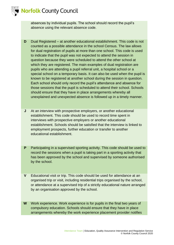

absences by individual pupils. The school should record the pupil's absence using the relevant absence code.

- **D** Dual Registered at another educational establishment. This code is not counted as a possible attendance in the school Census. The law allows for dual registration of pupils at more than one school. This code is used to indicate that the pupil was not expected to attend the session in question because they were scheduled to attend the other school at which they are registered. The main examples of dual registration are pupils who are attending a pupil referral unit, a hospital school or a special school on a temporary basis. It can also be used when the pupil is known to be registered at another school during the session in question. Each school should only record the pupil's attendance and absence for those sessions that the pupil is scheduled to attend their school. Schools should ensure that they have in place arrangements whereby all unexplained and unexpected absence is followed up in a timely manner.
- **J** At an interview with prospective employers, or another educational establishment. This code should be used to record time spent in interviews with prospective employers or another educational establishment. Schools should be satisfied that the interview is linked to employment prospects, further education or transfer to another educational establishment.
- **P** Participating in a supervised sporting activity. This code should be used to record the sessions when a pupil is taking part in a sporting activity that has been approved by the school and supervised by someone authorised by the school.
- **V** Educational visit or trip. This code should be used for attendance at an organised trip or visit, including residential trips organised by the school, or attendance at a supervised trip of a strictly educational nature arranged by an organisation approved by the school.
- **W** Work experience. Work experience is for pupils in the final two years of compulsory education. Schools should ensure that they have in place arrangements whereby the work experience placement provider notifies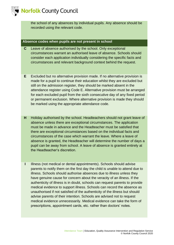

the school of any absences by individual pupils. Any absence should be recorded using the relevant code.

#### **Absence codes when pupils are not present in school**

- **C** Leave of absence authorised by the school. Only exceptional circumstances warrant an authorised leave of absence. Schools should consider each application individually considering the specific facts and circumstances and relevant background context behind the request.
- **E** Excluded but no alternative provision made. If no alternative provision is made for a pupil to continue their education whilst they are excluded but still on the admission register, they should be marked absent in the attendance register using Code E. Alternative provision must be arranged for each excluded pupil from the sixth consecutive day of any fixed period or permanent exclusion. Where alternative provision is made they should be marked using the appropriate attendance code.
- **H** Holiday authorised by the school. Headteachers should not grant leave of absence unless there are exceptional circumstances. The application must be made in advance and the Headteacher must be satisfied that there are exceptional circumstances based on the individual facts and circumstances of the case which warrant the leave. Where a leave of absence is granted, the Headteacher will determine the number of days a pupil can be away from school. A leave of absence is granted entirely at the Headteacher's discretion.
- **I** Illness (not medical or dental appointments). Schools should advise parents to notify them on the first day the child is unable to attend due to illness. Schools should authorise absences due to illness unless they have genuine cause for concern about the veracity of an illness. If the authenticity of illness is in doubt, schools can request parents to provide medical evidence to support illness. Schools can record the absence as unauthorised if not satisfied of the authenticity of the illness but should advise parents of their intention. Schools are advised not to request medical evidence unnecessarily. Medical evidence can take the form of prescriptions, appointment cards, etc. rather than doctors' notes.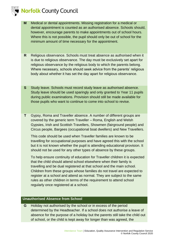



- **M** Medical or dental appointments. Missing registration for a medical or dental appointment is counted as an authorised absence. Schools should, however, encourage parents to make appointments out of school hours. Where this is not possible, the pupil should only be out of school for the minimum amount of time necessary for the appointment.
- **R** Religious observance. Schools must treat absence as authorised when it is due to religious observance. The day must be exclusively set apart for religious observance by the religious body to which the parents belong. Where necessary, schools should seek advice from the parents' religious body about whether it has set the day apart for religious observance.
- **S** Study leave. Schools must record study leave as authorised absence. Study leave should be used sparingly and only granted to Year 11 pupils during public examinations. Provision should still be made available for those pupils who want to continue to come into school to revise.
- **T** Gypsy, Roma and Traveller absence. A number of different groups are covered by the generic term Traveller – Roma, English and Welsh Gypsies, Irish and Scottish Travellers, Showmen (fairground people) and Circus people, Bargees (occupational boat dwellers) and New Travellers.

This code should be used when Traveller families are known to be travelling for occupational purposes and have agreed this with the school but it is not known whether the pupil is attending educational provision. It should not be used for any other types of absence by these groups.

To help ensure continuity of education for Traveller children it is expected that the child should attend school elsewhere when their family is travelling and be dual registered at that school and the main school. Children from these groups whose families do not travel are expected to register at a school and attend as normal. They are subject to the same rules as other children in terms of the requirement to attend school regularly once registered at a school.

#### **Unauthorised Absence from School**

**G** Holiday not authorised by the school or in excess of the period determined by the Headteacher. If a school does not authorise a leave of absence for the purpose of a holiday but the parents still take the child out of school, or the child is kept away for longer than was agreed, the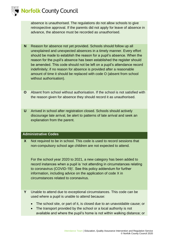

absence is unauthorised. The regulations do not allow schools to give retrospective approval. If the parents did not apply for leave of absence in advance, the absence must be recorded as unauthorised.

- **N** Reason for absence not yet provided. Schools should follow up all unexplained and unexpected absences in a timely manner. Every effort should be made to establish the reason for a pupil's absence. When the reason for the pupil's absence has been established the register should be amended. This code should not be left on a pupil's attendance record indefinitely; if no reason for absence is provided after a reasonable amount of time it should be replaced with code O (absent from school without authorisation).
- **O** Absent from school without authorisation. If the school is not satisfied with the reason given for absence they should record it as unauthorised.
- **U** Arrived in school after registration closed. Schools should actively discourage late arrival, be alert to patterns of late arrival and seek an explanation from the parent.

#### **Administrative Codes**

**X** Not required to be in school. This code is used to record sessions that non-compulsory school age children are not expected to attend.

For the school year 2020 to 2021, a new category has been added to record instances when a pupil is 'not attending in circumstances relating to coronavirus (COVID-19)'. See this policy addendum for further information, including advice on the application of code X in circumstances related to coronavirus.

- **Y** Unable to attend due to exceptional circumstances. This code can be used where a pupil is unable to attend because:
	- The school site, or part of it, is closed due to an unavoidable cause; or
	- The transport provided by the school or a local authority is not available and where the pupil's home is not within walking distance; or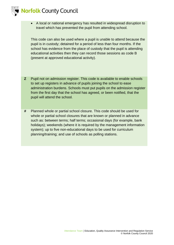



• A local or national emergency has resulted in widespread disruption to travel which has prevented the pupil from attending school.

This code can also be used where a pupil is unable to attend because the pupil is in custody; detained for a period of less than four months. If the school has evidence from the place of custody that the pupil is attending educational activities then they can record those sessions as code B (present at approved educational activity).

- **Z** Pupil not on admission register. This code is available to enable schools to set up registers in advance of pupils joining the school to ease administration burdens. Schools must put pupils on the admission register from the first day that the school has agreed, or been notified, that the pupil will attend the school*.*
- **#** Planned whole or partial school closure. This code should be used for whole or partial school closures that are known or planned in advance such as: between terms; half terms; occasional days (for example, bank holidays); weekends (where it is required by the management information system); up to five non-educational days to be used for curriculum planning/training; and use of schools as polling stations.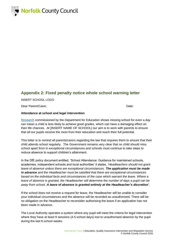

## **Appendix 2: Fixed penalty notice whole school warning letter**

INSERT SCHOOL LOGO

Dear Parent/Carer, Date:

#### **Attendance at school and legal intervention**

[Research](https://www.gov.uk/government/publications/absence-and-attainment-at-key-stages-2-and-4-2013-to-2014) commissioned by the Department for Education shows missing school for even a day can mean a child is less likely to achieve good grades, which can have a damaging effect on their life chances. At [INSERT NAME OF SCHOOL] our aim is to work with parents to ensure that all our pupils receive the most from their education and reach their full potential.

This letter is to remind all parents/carers regarding the law that requires them to ensure that their child attends school regularly. The Government remains very clear that no child should miss school apart from in exceptional circumstances and schools must continue to take steps to reduce absence to support children's attainment.

In the DfE policy document entitled, 'School Attendance: Guidance for maintained schools, academies, independent schools and local authorities' it states, '*Headteachers should not grant leave of absence unless there are exceptional circumstances. The application must be made in advance and the Headteacher must be satisfied that there are exceptional circumstances based on the individual facts and circumstances of the case which warrant the leave. Where a leave of absence is granted, the Headteacher will determine the number of days a pupil can be away from school. A leave of absence is granted entirely at the Headteacher's discretion'*.

If the school does not receive a request for leave, the Headteacher will be unable to consider your individual circumstances and the absence will be recorded as unauthorised. There will be no obligation on the Headteacher to reconsider authorising the leave if an application has not been made in advance.

The Local Authority operates a system where any pupil will meet the criteria for legal intervention where they have at least 9 sessions (4.5 school days) lost to unauthorised absence by the pupil during the last 6 school weeks.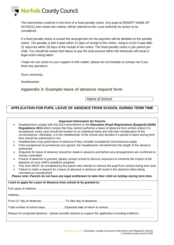

The intervention could be in the form of a fixed penalty notice. Any pupil at [INSERT NAME OF SCHOOL] who meets the criteria, will be referred to the Local Authority for action to be considered.

If a fixed penalty notice is issued the arrangement for the payment will be detailed on the penalty notice. The penalty is £60 if paid within 21 days of receipt of the notice, rising to £120 if paid after 21 days but within 28 days of the receipt of the notice. The fixed penalty notice is per parent per child. You should be aware that failure to pay the total amount within the timescale will result in legal action being taken.

I hope we can count on your support in this matter, please do not hesitate to contact me if you have any questions.

Yours sincerely,

Headteacher

## **Appendix 3: Example leave of absence request form**

Name of School:

## **APPLICATION FOR PUPIL LEAVE OF ABSENCE FROM SCHOOL DURING TERM TIME**

| <b>Important Information for Parents</b>                                                                                                                                                                                                                                                                                                                                                                                                                                                                                                                                                                                                                                                                                                                                                                                                                                                                                                                                                                                                                                                                                                                                                                                        |
|---------------------------------------------------------------------------------------------------------------------------------------------------------------------------------------------------------------------------------------------------------------------------------------------------------------------------------------------------------------------------------------------------------------------------------------------------------------------------------------------------------------------------------------------------------------------------------------------------------------------------------------------------------------------------------------------------------------------------------------------------------------------------------------------------------------------------------------------------------------------------------------------------------------------------------------------------------------------------------------------------------------------------------------------------------------------------------------------------------------------------------------------------------------------------------------------------------------------------------|
| Headteachers comply with the 2013 amendment to the Education (Pupil Registration) (England) (2006)<br>Regulations 2013 which means that they cannot authorise a leave of absence from school unless it is<br>exceptional; every case should be treated on an individual basis and with due consideration of the<br>circumstances. Ultimately, it is the Headteacher of the school who decides if a period of leave during term<br>time should be authorised or not<br>Headteachers may grant leave of absence if they consider exceptional circumstances apply<br>$\bullet$<br>If the exceptional circumstances are agreed, the Headteacher will determine the length of the absence<br>authorised<br>Requests for leave of absence should be made in advance and before any arrangements are confirmed or<br>money committed<br>If leave of absence is granted, please contact school to discuss measures to minimise the impact of the<br>$\bullet$<br>absence on your child's academic progress<br>This form MUST be completed by the parent who intends to remove the pupil from school during term time<br>Failure to make a request for a leave of absence in advance will result in the absence taken being<br>$\bullet$ |
| recorded as unauthorised<br>Please note: Parents do not have any legal entitlement to take their child on holiday during term time.                                                                                                                                                                                                                                                                                                                                                                                                                                                                                                                                                                                                                                                                                                                                                                                                                                                                                                                                                                                                                                                                                             |
|                                                                                                                                                                                                                                                                                                                                                                                                                                                                                                                                                                                                                                                                                                                                                                                                                                                                                                                                                                                                                                                                                                                                                                                                                                 |
| I wish to apply for Leave of Absence from school to be granted to:                                                                                                                                                                                                                                                                                                                                                                                                                                                                                                                                                                                                                                                                                                                                                                                                                                                                                                                                                                                                                                                                                                                                                              |
|                                                                                                                                                                                                                                                                                                                                                                                                                                                                                                                                                                                                                                                                                                                                                                                                                                                                                                                                                                                                                                                                                                                                                                                                                                 |
|                                                                                                                                                                                                                                                                                                                                                                                                                                                                                                                                                                                                                                                                                                                                                                                                                                                                                                                                                                                                                                                                                                                                                                                                                                 |
| From (1st day of absence) ……………………To (last day of absence) …………………………………………………                                                                                                                                                                                                                                                                                                                                                                                                                                                                                                                                                                                                                                                                                                                                                                                                                                                                                                                                                                                                                                                                                                                                                  |
|                                                                                                                                                                                                                                                                                                                                                                                                                                                                                                                                                                                                                                                                                                                                                                                                                                                                                                                                                                                                                                                                                                                                                                                                                                 |
| Reason for proposed absence - please provide reasons to support the application including evidence:                                                                                                                                                                                                                                                                                                                                                                                                                                                                                                                                                                                                                                                                                                                                                                                                                                                                                                                                                                                                                                                                                                                             |
|                                                                                                                                                                                                                                                                                                                                                                                                                                                                                                                                                                                                                                                                                                                                                                                                                                                                                                                                                                                                                                                                                                                                                                                                                                 |
|                                                                                                                                                                                                                                                                                                                                                                                                                                                                                                                                                                                                                                                                                                                                                                                                                                                                                                                                                                                                                                                                                                                                                                                                                                 |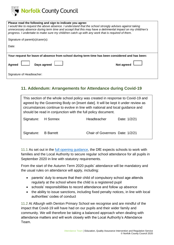

| Please read the following and sign to indicate you agree:<br>I would like to request the above absence. I understand that the school strongly advises against taking<br>unnecessary absence during term time and accept that this may have a detrimental impact on my child/ren's<br>progress. I undertake to make sure my child/ren catch up with any work that is required of them. |  |  |
|---------------------------------------------------------------------------------------------------------------------------------------------------------------------------------------------------------------------------------------------------------------------------------------------------------------------------------------------------------------------------------------|--|--|
| Signature of parent(s)/carer(s):                                                                                                                                                                                                                                                                                                                                                      |  |  |
| Date:                                                                                                                                                                                                                                                                                                                                                                                 |  |  |
|                                                                                                                                                                                                                                                                                                                                                                                       |  |  |
| Your request for leave of absence from school during term time has been considered and has been:                                                                                                                                                                                                                                                                                      |  |  |
| <b>Agreed</b><br>Days agreed<br>Not agreed                                                                                                                                                                                                                                                                                                                                            |  |  |
| Signature of Headteacher:                                                                                                                                                                                                                                                                                                                                                             |  |  |

## **11. Addendum: Arrangements for Attendance during Covid-19**

| This section of the whole school policy was created in response to Covid-19 and<br>agreed by the Governing Body on [insert date]. It will be kept it under review as<br>circumstances continue to evolve in line with national and local guidance and<br>should be read in conjunction with the full policy document. |                  |                                 |              |
|-----------------------------------------------------------------------------------------------------------------------------------------------------------------------------------------------------------------------------------------------------------------------------------------------------------------------|------------------|---------------------------------|--------------|
| Signature: H Sonnex                                                                                                                                                                                                                                                                                                   |                  | <b>Headteacher</b>              | Date: 1/2/21 |
| Signature:                                                                                                                                                                                                                                                                                                            | <b>B</b> Barrett | Chair of Governors Date: 1/2/21 |              |

11.1 As set out in the [full opening guidance,](https://www.gov.uk/government/publications/actions-for-schools-during-the-coronavirus-outbreak/guidance-for-full-opening-schools) the DfE expects schools to work with families and the Local Authority to secure regular school attendance for all pupils in September 2020 in line with statutory requirements.

From the start of the Autumn Term 2020 pupils' attendance will be mandatory and the usual rules on attendance will apply, including:

- parents' duty to ensure that their child of compulsory school age attends regularly at the school where the child is a registered pupil
- schools' responsibilities to record attendance and follow up absence
- the ability to issue sanctions, including fixed penalty notices, in line with local authorities' codes of conduct

11.2 At Alburgh with Denton Primary School we recognise and are mindful of the impact that Covid-19 will have had on our pupils and their wider family and community. We will therefore be taking a balanced approach when dealing with attendance matters and will work closely with the Local Authority's Attendance Team.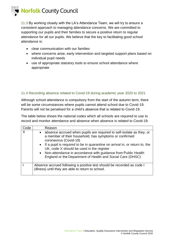

11.3 By working closely with the LA's Attendance Team, we will try to ensure a consistent approach to managing attendance concerns. We are committed to supporting our pupils and their families to secure a positive return to regular attendance for all our pupils. We believe that the key to facilitating good school attendance is:

- clear communication with our families
- where concerns arise, early intervention and targeted support plans based on individual pupil needs
- use of appropriate statutory tools to ensure school attendance where appropriate

#### 11.4 Recording absence related to Covid-19 during academic year 2020 to 2021

Although school attendance is compulsory from the start of the autumn term, there will be some circumstances where pupils cannot attend school due to Covid-19. Parents will not be penalised for a child's absence that is related to Covid-19.

The table below shows the national codes which all schools are required to use to record and monitor attendance and absence when absence is related to Covid-19:

| Code | Reason                                                                                                                                                                                                                                                                                                                                                                                                                    |
|------|---------------------------------------------------------------------------------------------------------------------------------------------------------------------------------------------------------------------------------------------------------------------------------------------------------------------------------------------------------------------------------------------------------------------------|
|      | • absence accrued when pupils are required to self-isolate as they, or<br>a member of their household, has symptoms or confirmed<br>coronavirus (Covid-19)<br>• If a pupil is required to be in quarantine on arrival in, or return to, the<br>UK, code X should be used in the register<br>• Non-attendance in accordance with guidance from Public Health<br>England or the Department of Health and Social Care (DHSC) |
|      | Absence accrued following a positive test should be recorded as code I<br>(illness) until they are able to return to school.                                                                                                                                                                                                                                                                                              |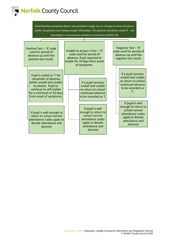

Pupil develops symptoms (fever, new persistent cough, loss or change to sense of taste or smell). Household must isolate and get child tested. This absence should be coded 'X' - not attending in circumstances related to coronavirus (COVID-19)

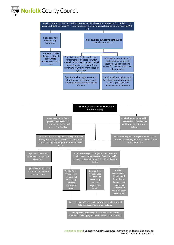